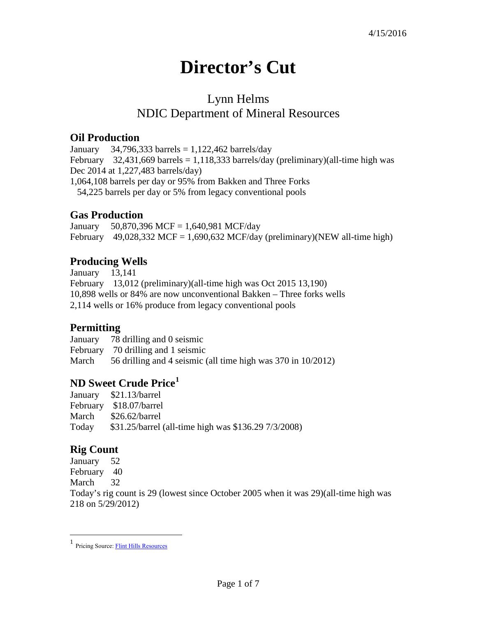# **Director's Cut**

# Lynn Helms NDIC Department of Mineral Resources

### **Oil Production**

January 34,796,333 barrels =  $1,122,462$  barrels/day February 32,431,669 barrels = 1,118,333 barrels/day (preliminary)(all-time high was Dec 2014 at 1,227,483 barrels/day) 1,064,108 barrels per day or 95% from Bakken and Three Forks 54,225 barrels per day or 5% from legacy conventional pools

### **Gas Production**

January 50,870,396 MCF = 1,640,981 MCF/day February 49,028,332 MCF = 1,690,632 MCF/day (preliminary)(NEW all-time high)

### **Producing Wells**

January 13,141 February 13,012 (preliminary)(all-time high was Oct 2015 13,190) 10,898 wells or 84% are now unconventional Bakken – Three forks wells 2,114 wells or 16% produce from legacy conventional pools

## **Permitting**

January 78 drilling and 0 seismic February 70 drilling and 1 seismic March 56 drilling and 4 seismic (all time high was 370 in 10/2012)

### **ND Sweet Crude Price[1](#page-0-0)**

|       | January \$21.13/barrel                               |
|-------|------------------------------------------------------|
|       | February \$18.07/barrel                              |
| March | $$26.62/b$ arrel                                     |
| Today | \$31.25/barrel (all-time high was \$136.29 7/3/2008) |

#### **Rig Count**

 $\overline{a}$ 

January 52 February 40 March 32 Today's rig count is 29 (lowest since October 2005 when it was 29)(all-time high was 218 on 5/29/2012)

<span id="page-0-0"></span><sup>1</sup> Pricing Source[: Flint Hills Resources](http://www.fhr.com/refining/bulletins.aspx?AspxAutoDetectCookieSupport=1)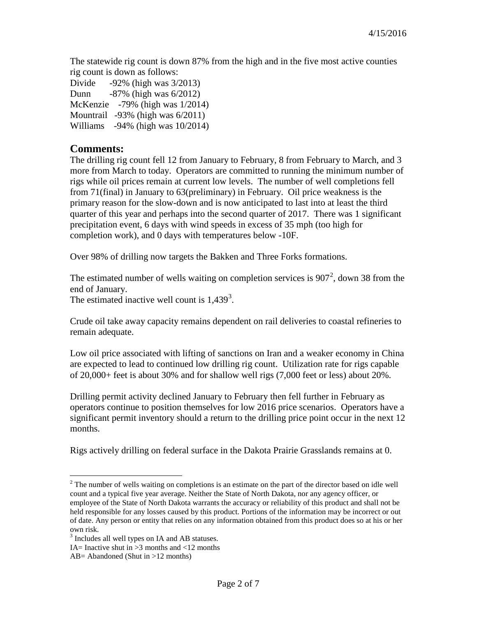The statewide rig count is down 87% from the high and in the five most active counties rig count is down as follows:

Divide -92% (high was 3/2013) Dunn -87% (high was 6/2012) McKenzie -79% (high was 1/2014) Mountrail -93% (high was 6/2011) Williams -94% (high was 10/2014)

#### **Comments:**

The drilling rig count fell 12 from January to February, 8 from February to March, and 3 more from March to today. Operators are committed to running the minimum number of rigs while oil prices remain at current low levels. The number of well completions fell from 71(final) in January to 63(preliminary) in February. Oil price weakness is the primary reason for the slow-down and is now anticipated to last into at least the third quarter of this year and perhaps into the second quarter of 2017. There was 1 significant precipitation event, 6 days with wind speeds in excess of 35 mph (too high for completion work), and 0 days with temperatures below -10F.

Over 98% of drilling now targets the Bakken and Three Forks formations.

The estimated number of wells waiting on completion services is  $907^2$  $907^2$ , down 38 from the end of January.

The estimated inactive well count is  $1,439<sup>3</sup>$  $1,439<sup>3</sup>$  $1,439<sup>3</sup>$ .

Crude oil take away capacity remains dependent on rail deliveries to coastal refineries to remain adequate.

Low oil price associated with lifting of sanctions on Iran and a weaker economy in China are expected to lead to continued low drilling rig count. Utilization rate for rigs capable of 20,000+ feet is about 30% and for shallow well rigs (7,000 feet or less) about 20%.

Drilling permit activity declined January to February then fell further in February as operators continue to position themselves for low 2016 price scenarios. Operators have a significant permit inventory should a return to the drilling price point occur in the next 12 months.

Rigs actively drilling on federal surface in the Dakota Prairie Grasslands remains at 0.

<span id="page-1-0"></span> $2^2$  The number of wells waiting on completions is an estimate on the part of the director based on idle well count and a typical five year average. Neither the State of North Dakota, nor any agency officer, or employee of the State of North Dakota warrants the accuracy or reliability of this product and shall not be held responsible for any losses caused by this product. Portions of the information may be incorrect or out of date. Any person or entity that relies on any information obtained from this product does so at his or her own risk.  $\overline{a}$ 

<span id="page-1-1"></span><sup>3</sup> Includes all well types on IA and AB statuses.

IA= Inactive shut in  $>3$  months and  $<12$  months

AB= Abandoned (Shut in >12 months)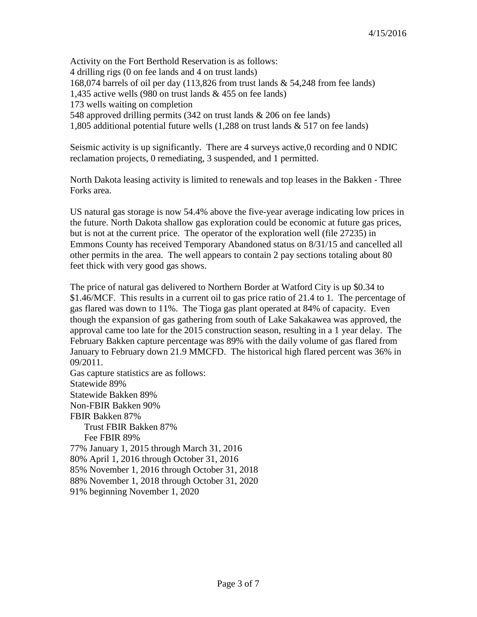Activity on the Fort Berthold Reservation is as follows: 4 drilling rigs (0 on fee lands and 4 on trust lands) 168,074 barrels of oil per day (113,826 from trust lands & 54,248 from fee lands) 1,435 active wells (980 on trust lands & 455 on fee lands) 173 wells waiting on completion 548 approved drilling permits (342 on trust lands & 206 on fee lands) 1,805 additional potential future wells (1,288 on trust lands & 517 on fee lands)

Seismic activity is up significantly. There are 4 surveys active, 0 recording and 0 NDIC reclamation projects, 0 remediating, 3 suspended, and 1 permitted.

North Dakota leasing activity is limited to renewals and top leases in the Bakken - Three Forks area.

US natural gas storage is now 54.4% above the five-year average indicating low prices in the future. North Dakota shallow gas exploration could be economic at future gas prices, but is not at the current price. The operator of the exploration well (file 27235) in Emmons County has received Temporary Abandoned status on 8/31/15 and cancelled all other permits in the area. The well appears to contain 2 pay sections totaling about 80 feet thick with very good gas shows.

The price of natural gas delivered to Northern Border at Watford City is up \$0.34 to \$1.46/MCF. This results in a current oil to gas price ratio of 21.4 to 1. The percentage of gas flared was down to 11%. The Tioga gas plant operated at 84% of capacity. Even though the expansion of gas gathering from south of Lake Sakakawea was approved, the approval came too late for the 2015 construction season, resulting in a 1 year delay. The February Bakken capture percentage was 89% with the daily volume of gas flared from January to February down 21.9 MMCFD. The historical high flared percent was 36% in 09/2011.

Gas capture statistics are as follows: Statewide 89% Statewide Bakken 89% Non-FBIR Bakken 90% FBIR Bakken 87% Trust FBIR Bakken 87% Fee FBIR 89% 77% January 1, 2015 through March 31, 2016 80% April 1, 2016 through October 31, 2016 85% November 1, 2016 through October 31, 2018 88% November 1, 2018 through October 31, 2020 91% beginning November 1, 2020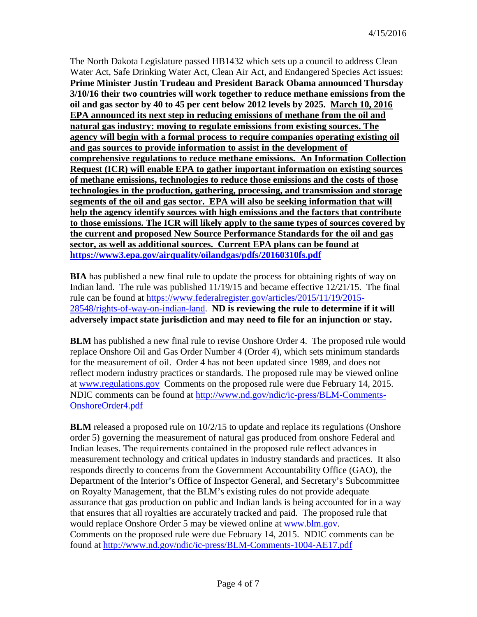The North Dakota Legislature passed HB1432 which sets up a council to address Clean Water Act, Safe Drinking Water Act, Clean Air Act, and Endangered Species Act issues: **Prime Minister Justin Trudeau and President Barack Obama announced Thursday 3/10/16 their two countries will work together to reduce methane emissions from the oil and gas sector by 40 to 45 per cent below 2012 levels by 2025. March 10, 2016 EPA announced its next step in reducing emissions of methane from the oil and natural gas industry: moving to regulate emissions from existing sources. The agency will begin with a formal process to require companies operating existing oil and gas sources to provide information to assist in the development of comprehensive regulations to reduce methane emissions. An Information Collection Request (ICR) will enable EPA to gather important information on existing sources of methane emissions, technologies to reduce those emissions and the costs of those technologies in the production, gathering, processing, and transmission and storage segments of the oil and gas sector. EPA will also be seeking information that will help the agency identify sources with high emissions and the factors that contribute to those emissions. The ICR will likely apply to the same types of sources covered by the current and proposed New Source Performance Standards for the oil and gas sector, as well as additional sources. Current EPA plans can be found at <https://www3.epa.gov/airquality/oilandgas/pdfs/20160310fs.pdf>**

**BIA** has published a new final rule to update the process for obtaining rights of way on Indian land. The rule was published 11/19/15 and became effective 12/21/15. The final rule can be found at [https://www.federalregister.gov/articles/2015/11/19/2015-](https://www.federalregister.gov/articles/2015/11/19/2015-28548/rights-of-way-on-indian-land) [28548/rights-of-way-on-indian-land.](https://www.federalregister.gov/articles/2015/11/19/2015-28548/rights-of-way-on-indian-land) **ND is reviewing the rule to determine if it will adversely impact state jurisdiction and may need to file for an injunction or stay.**

**BLM** has published a new final rule to revise Onshore Order 4. The proposed rule would replace Onshore Oil and Gas Order Number 4 (Order 4), which sets minimum standards for the measurement of oil. Order 4 has not been updated since 1989, and does not reflect modern industry practices or standards. The proposed rule may be viewed online at [www.regulations.gov](http://www.regulations.gov/) Comments on the proposed rule were due February 14, 2015. NDIC comments can be found at [http://www.nd.gov/ndic/ic-press/BLM-Comments-](http://www.nd.gov/ndic/ic-press/BLM-Comments-OnshoreOrder4.pdf)[OnshoreOrder4.pdf](http://www.nd.gov/ndic/ic-press/BLM-Comments-OnshoreOrder4.pdf)

**BLM** released a proposed rule on  $10/2/15$  to update and replace its regulations (Onshore order 5) governing the measurement of natural gas produced from onshore Federal and Indian leases. The requirements contained in the proposed rule reflect advances in measurement technology and critical updates in industry standards and practices. It also responds directly to concerns from the Government Accountability Office (GAO), the Department of the Interior's Office of Inspector General, and Secretary's Subcommittee on Royalty Management, that the BLM's existing rules do not provide adequate assurance that gas production on public and Indian lands is being accounted for in a way that ensures that all royalties are accurately tracked and paid. The proposed rule that would replace Onshore Order 5 may be viewed online at [www.blm.gov.](http://www.blm.gov/) Comments on the proposed rule were due February 14, 2015. NDIC comments can be found at<http://www.nd.gov/ndic/ic-press/BLM-Comments-1004-AE17.pdf>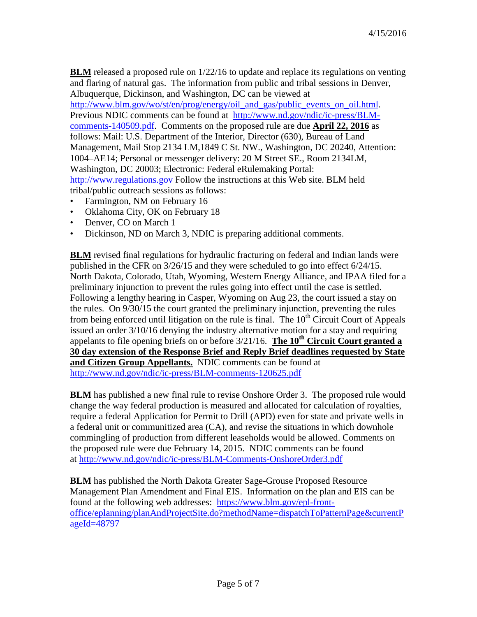**BLM** released a proposed rule on  $1/22/16$  to update and replace its regulations on venting and flaring of natural gas. The information from public and tribal sessions in Denver, Albuquerque, Dickinson, and Washington, DC can be viewed at [http://www.blm.gov/wo/st/en/prog/energy/oil\\_and\\_gas/public\\_events\\_on\\_oil.html.](http://www.blm.gov/wo/st/en/prog/energy/oil_and_gas/public_events_on_oil.html) Previous NDIC comments can be found at [http://www.nd.gov/ndic/ic-press/BLM](http://www.nd.gov/ndic/ic-press/BLM-comments-140509.pdf)[comments-140509.pdf.](http://www.nd.gov/ndic/ic-press/BLM-comments-140509.pdf) Comments on the proposed rule are due **April 22, 2016** as follows: Mail: U.S. Department of the Interior, Director (630), Bureau of Land Management, Mail Stop 2134 LM,1849 C St. NW., Washington, DC 20240, Attention: 1004–AE14; Personal or messenger delivery: 20 M Street SE., Room 2134LM, Washington, DC 20003; Electronic: Federal eRulemaking Portal: [http://www.regulations.gov](http://www.regulations.gov/) Follow the instructions at this Web site. BLM held tribal/public outreach sessions as follows:

- Farmington, NM on February 16
- Oklahoma City, OK on February 18
- Denver, CO on March 1
- Dickinson, ND on March 3, NDIC is preparing additional comments.

**BLM** revised final regulations for hydraulic fracturing on federal and Indian lands were published in the CFR on 3/26/15 and they were scheduled to go into effect 6/24/15. North Dakota, Colorado, Utah, Wyoming, Western Energy Alliance, and IPAA filed for a preliminary injunction to prevent the rules going into effect until the case is settled. Following a lengthy hearing in Casper, Wyoming on Aug 23, the court issued a stay on the rules. On 9/30/15 the court granted the preliminary injunction, preventing the rules from being enforced until litigation on the rule is final. The  $10<sup>th</sup>$  Circuit Court of Appeals issued an order 3/10/16 denying the industry alternative motion for a stay and requiring appelants to file opening briefs on or before  $3/21/16$ . The 10<sup>th</sup> Circuit Court granted a **30 day extension of the Response Brief and Reply Brief deadlines requested by State and Citizen Group Appellants.** NDIC comments can be found at <http://www.nd.gov/ndic/ic-press/BLM-comments-120625.pdf>

**BLM** has published a new final rule to revise Onshore Order 3. The proposed rule would change the way federal production is measured and allocated for calculation of royalties, require a federal Application for Permit to Drill (APD) even for state and private wells in a federal unit or communitized area (CA), and revise the situations in which downhole commingling of production from different leaseholds would be allowed. Comments on the proposed rule were due February 14, 2015. NDIC comments can be found at <http://www.nd.gov/ndic/ic-press/BLM-Comments-OnshoreOrder3.pdf>

**BLM** has published the North Dakota Greater Sage-Grouse Proposed Resource Management Plan Amendment and Final EIS. Information on the plan and EIS can be found at the following web addresses: [https://www.blm.gov/epl-front](https://www.blm.gov/epl-front-office/eplanning/planAndProjectSite.do?methodName=dispatchToPatternPage¤tPageId=48797)[office/eplanning/planAndProjectSite.do?methodName=dispatchToPatternPage&currentP](https://www.blm.gov/epl-front-office/eplanning/planAndProjectSite.do?methodName=dispatchToPatternPage¤tPageId=48797) [ageId=48797](https://www.blm.gov/epl-front-office/eplanning/planAndProjectSite.do?methodName=dispatchToPatternPage¤tPageId=48797)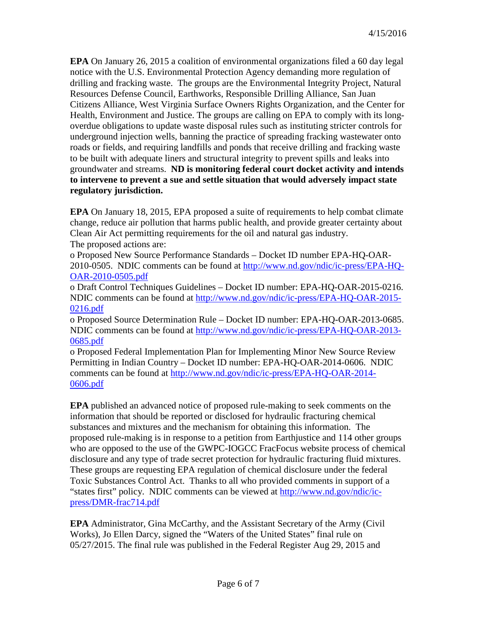**EPA** On January 26, 2015 a coalition of environmental organizations filed a 60 day legal notice with the U.S. Environmental Protection Agency demanding more regulation of drilling and fracking waste. The groups are the Environmental Integrity Project, Natural Resources Defense Council, Earthworks, Responsible Drilling Alliance, San Juan Citizens Alliance, West Virginia Surface Owners Rights Organization, and the Center for Health, Environment and Justice. The groups are calling on EPA to comply with its longoverdue obligations to update waste disposal rules such as instituting stricter controls for underground injection wells, banning the practice of spreading fracking wastewater onto roads or fields, and requiring landfills and ponds that receive drilling and fracking waste to be built with adequate liners and structural integrity to prevent spills and leaks into groundwater and streams. **ND is monitoring federal court docket activity and intends to intervene to prevent a sue and settle situation that would adversely impact state regulatory jurisdiction.**

**EPA** On January 18, 2015, EPA proposed a suite of requirements to help combat climate change, reduce air pollution that harms public health, and provide greater certainty about Clean Air Act permitting requirements for the oil and natural gas industry. The proposed actions are:

o Proposed New Source Performance Standards – Docket ID number EPA-HQ-OAR-2010-0505. NDIC comments can be found at [http://www.nd.gov/ndic/ic-press/EPA-HQ-](http://www.nd.gov/ndic/ic-press/EPA-HQ-OAR-2010-0505.pdf)[OAR-2010-0505.pdf](http://www.nd.gov/ndic/ic-press/EPA-HQ-OAR-2010-0505.pdf)

o Draft Control Techniques Guidelines – Docket ID number: EPA-HQ-OAR-2015-0216. NDIC comments can be found at [http://www.nd.gov/ndic/ic-press/EPA-HQ-OAR-2015-](http://www.nd.gov/ndic/ic-press/EPA-HQ-OAR-2015-0216.pdf) [0216.pdf](http://www.nd.gov/ndic/ic-press/EPA-HQ-OAR-2015-0216.pdf)

o Proposed Source Determination Rule – Docket ID number: EPA-HQ-OAR-2013-0685. NDIC comments can be found at [http://www.nd.gov/ndic/ic-press/EPA-HQ-OAR-2013-](http://www.nd.gov/ndic/ic-press/EPA-HQ-OAR-2013-0685.pdf) [0685.pdf](http://www.nd.gov/ndic/ic-press/EPA-HQ-OAR-2013-0685.pdf)

o Proposed Federal Implementation Plan for Implementing Minor New Source Review Permitting in Indian Country – Docket ID number: EPA-HQ-OAR-2014-0606. NDIC comments can be found at [http://www.nd.gov/ndic/ic-press/EPA-HQ-OAR-2014-](http://www.nd.gov/ndic/ic-press/EPA-HQ-OAR-2014-0606.pdf) [0606.pdf](http://www.nd.gov/ndic/ic-press/EPA-HQ-OAR-2014-0606.pdf)

**EPA** published an advanced notice of proposed rule-making to seek comments on the information that should be reported or disclosed for hydraulic fracturing chemical substances and mixtures and the mechanism for obtaining this information. The proposed rule-making is in response to a petition from Earthjustice and 114 other groups who are opposed to the use of the GWPC-IOGCC FracFocus website process of chemical disclosure and any type of trade secret protection for hydraulic fracturing fluid mixtures. These groups are requesting EPA regulation of chemical disclosure under the federal Toxic Substances Control Act. Thanks to all who provided comments in support of a "states first" policy. NDIC comments can be viewed at [http://www.nd.gov/ndic/ic](http://www.nd.gov/ndic/ic-press/DMR-frac714.pdf)[press/DMR-frac714.pdf](http://www.nd.gov/ndic/ic-press/DMR-frac714.pdf)

**EPA** Administrator, Gina McCarthy, and the Assistant Secretary of the Army (Civil Works), Jo Ellen Darcy, signed the "Waters of the United States" final rule on 05/27/2015. The final rule was published in the Federal Register Aug 29, 2015 and